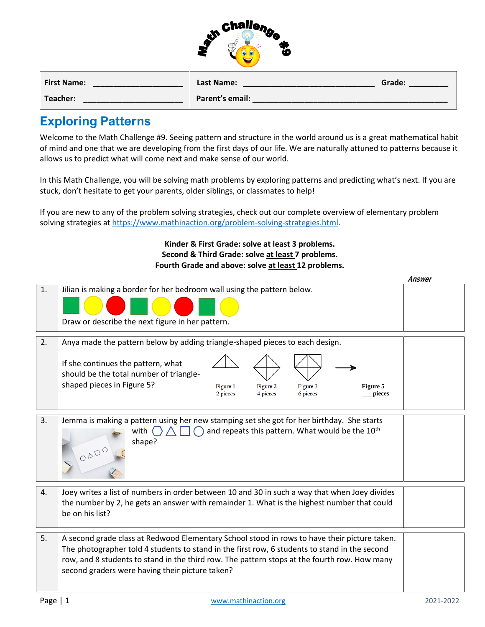|                    | $\mathcal{R}$ Challen,<br>ų.<br>μÇ<br>. .<br>Æ<br>⊸ |        |
|--------------------|-----------------------------------------------------|--------|
| <b>First Name:</b> | <b>Last Name:</b>                                   | Grade: |

| Teacher: | Parent's email: |  |
|----------|-----------------|--|
|          |                 |  |
|          |                 |  |

## **Exploring Patterns**

Welcome to the Math Challenge #9. Seeing pattern and structure in the world around us is a great mathematical habit of mind and one that we are developing from the first days of our life. We are naturally attuned to patterns because it allows us to predict what will come next and make sense of our world.

In this Math Challenge, you will be solving math problems by exploring patterns and predicting what's next. If you are stuck, don't hesitate to get your parents, older siblings, or classmates to help!

If you are new to any of the problem solving strategies, check out our complete overview of elementary problem solving strategies a[t https://www.mathinaction.org/problem-solving-strategies.html.](https://www.mathinaction.org/problem-solving-strategies.html)

> **Kinder & First Grade: solve at least 3 problems. Second & Third Grade: solve at least 7 problems. Fourth Grade and above: solve at least 12 problems.**

|    |                                                                                                                                                                                                                                                                                                                                                  | Answer |  |
|----|--------------------------------------------------------------------------------------------------------------------------------------------------------------------------------------------------------------------------------------------------------------------------------------------------------------------------------------------------|--------|--|
| 1. | Jilian is making a border for her bedroom wall using the pattern below.                                                                                                                                                                                                                                                                          |        |  |
|    | Draw or describe the next figure in her pattern.                                                                                                                                                                                                                                                                                                 |        |  |
| 2. | Anya made the pattern below by adding triangle-shaped pieces to each design.                                                                                                                                                                                                                                                                     |        |  |
|    | If she continues the pattern, what<br>should be the total number of triangle-<br>shaped pieces in Figure 5?<br>Figure 1<br>Figure 2<br>Figure 3<br>Figure 5<br>2 pieces<br>4 pieces<br>6 pieces<br>pieces                                                                                                                                        |        |  |
| 3. | Jemma is making a pattern using her new stamping set she got for her birthday. She starts<br>and repeats this pattern. What would be the 10 <sup>th</sup><br>with $\langle \rangle$<br>shape?<br>ODDO                                                                                                                                            |        |  |
| 4. | Joey writes a list of numbers in order between 10 and 30 in such a way that when Joey divides<br>the number by 2, he gets an answer with remainder 1. What is the highest number that could<br>be on his list?                                                                                                                                   |        |  |
| 5. | A second grade class at Redwood Elementary School stood in rows to have their picture taken.<br>The photographer told 4 students to stand in the first row, 6 students to stand in the second<br>row, and 8 students to stand in the third row. The pattern stops at the fourth row. How many<br>second graders were having their picture taken? |        |  |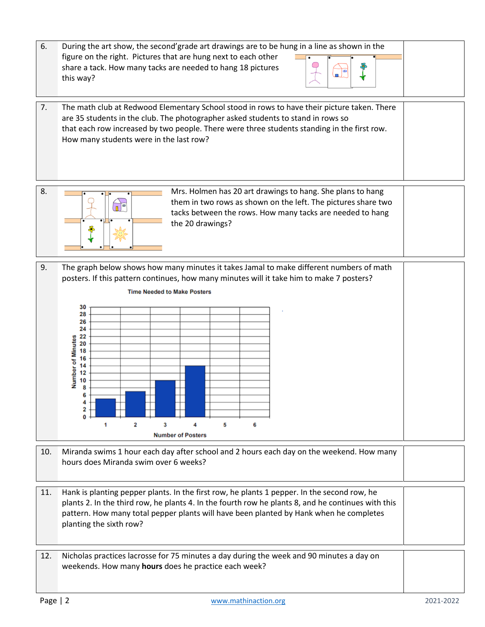- 6. During the art show, the second'grade art drawings are to be hung in a line as shown in the figure on the right. Pictures that are hung next to each other share a tack. How many tacks are needed to hang 18 pictures this way?
- 7. The math club at Redwood Elementary School stood in rows to have their picture taken. There are 35 students in the club. The photographer asked students to stand in rows so that each row increased by two people. There were three students standing in the first row. How many students were in the last row?



8. Mrs. Holmen has 20 art drawings to hang. She plans to hang them in two rows as shown on the left. The pictures share two tacks between the rows. How many tacks are needed to hang the 20 drawings?

.

9. The graph below shows how many minutes it takes Jamal to make different numbers of math posters. If this pattern continues, how many minutes will it take him to make 7 posters?



- 10. Miranda swims 1 hour each day after school and 2 hours each day on the weekend. How many hours does Miranda swim over 6 weeks?
- 11. Hank is planting pepper plants. In the first row, he plants 1 pepper. In the second row, he plants 2. In the third row, he plants 4. In the fourth row he plants 8, and he continues with this pattern. How many total pepper plants will have been planted by Hank when he completes planting the sixth row?

12. Nicholas practices lacrosse for 75 minutes a day during the week and 90 minutes a day on weekends. How many **hours** does he practice each week?